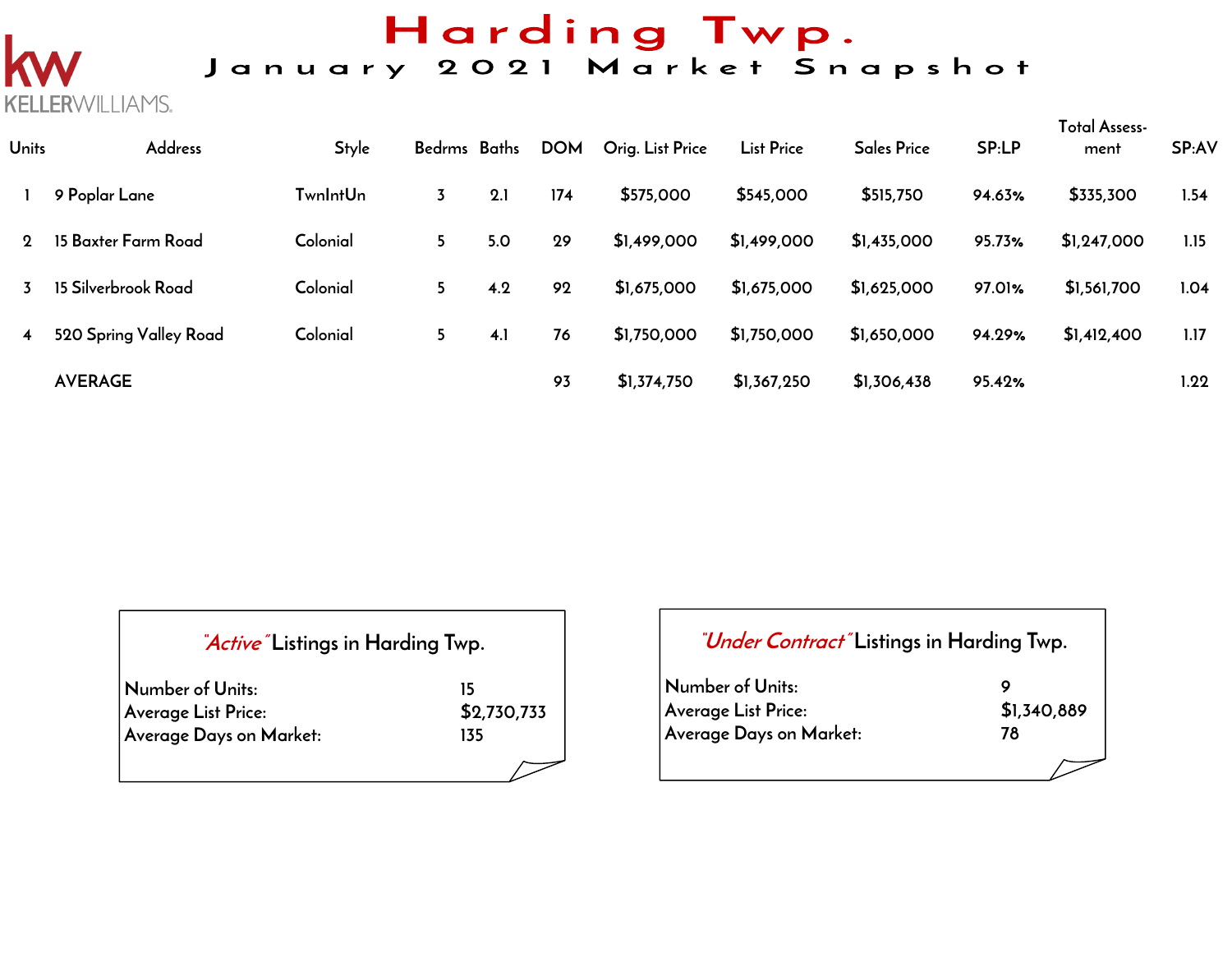# Harding Twp.

## January 2021 Market Snapshot

| <b>Units</b> | <b>Address</b>         | <b>Style</b> | Bedrms Baths |     | <b>DOM</b> | Orig. List Price | <b>List Price</b> | <b>Sales Price</b> | SP:LP  | <b>Total Assess-</b><br>ment | <b>SP:AV</b> |
|--------------|------------------------|--------------|--------------|-----|------------|------------------|-------------------|--------------------|--------|------------------------------|--------------|
|              | 9 Poplar Lane          | TwnIntUn     | 3            | 2.1 | 174        | \$575,000        | \$545,000         | \$515,750          | 94.63% | \$335,300                    | 1.54         |
| 2            | 15 Baxter Farm Road    | Colonial     | 5            | 5.0 | 29         | \$1,499,000      | \$1,499,000       | \$1,435,000        | 95.73% | \$1,247,000                  | 1.15         |
|              | 15 Silverbrook Road    | Colonial     | 5            | 4.2 | 92         | \$1,675,000      | \$1,675,000       | \$1,625,000        | 97.01% | \$1,561,700                  | 1.04         |
|              | 520 Spring Valley Road | Colonial     | 5            | 4.1 | 76         | \$1,750,000      | \$1,750,000       | \$1,650,000        | 94.29% | \$1,412,400                  | 1.17         |
|              | <b>AVERAGE</b>         |              |              |     | 93         | \$1,374,750      | \$1,367,250       | \$1,306,438        | 95.42% |                              | 1.22         |

| "Active" Listings in Harding Twp. |             |      |
|-----------------------------------|-------------|------|
| Number of Units:                  | 15          | Nur  |
| Average List Price:               | \$2,730,733 | Avel |
| Average Days on Market:           | 135         | Ave  |
|                                   |             |      |

**KELLERWILLIAMS.** 

| <i>"Under Contract"</i> Listings in Harding Twp. |             |
|--------------------------------------------------|-------------|
| Number of Units:                                 | Q           |
| Average List Price:                              | \$1,340,889 |
| Average Days on Market:                          | 78          |
|                                                  |             |